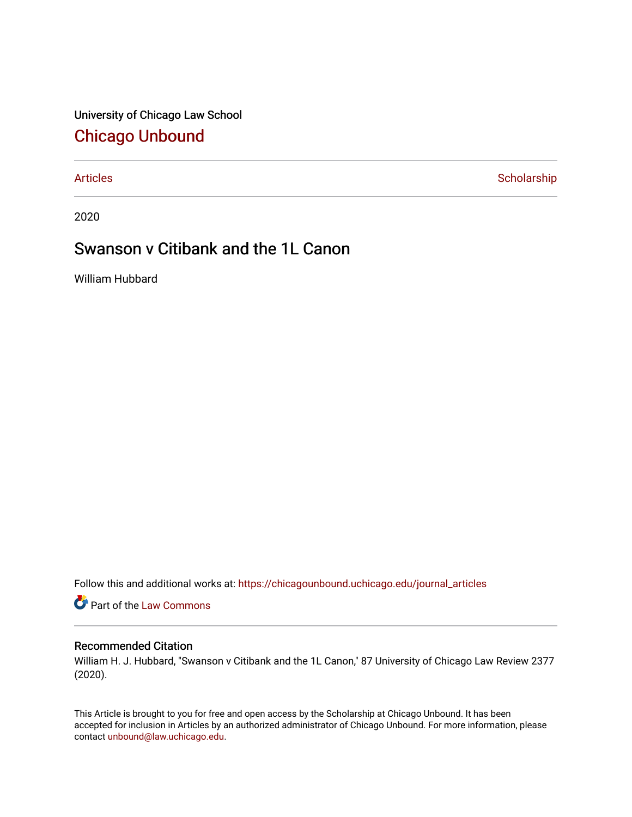University of Chicago Law School [Chicago Unbound](https://chicagounbound.uchicago.edu/)

[Articles](https://chicagounbound.uchicago.edu/journal_articles) **Scholarship** 

2020

# Swanson v Citibank and the 1L Canon

William Hubbard

Follow this and additional works at: [https://chicagounbound.uchicago.edu/journal\\_articles](https://chicagounbound.uchicago.edu/journal_articles?utm_source=chicagounbound.uchicago.edu%2Fjournal_articles%2F10112&utm_medium=PDF&utm_campaign=PDFCoverPages) 

**C** Part of the [Law Commons](http://network.bepress.com/hgg/discipline/578?utm_source=chicagounbound.uchicago.edu%2Fjournal_articles%2F10112&utm_medium=PDF&utm_campaign=PDFCoverPages)

## Recommended Citation

William H. J. Hubbard, "Swanson v Citibank and the 1L Canon," 87 University of Chicago Law Review 2377 (2020).

This Article is brought to you for free and open access by the Scholarship at Chicago Unbound. It has been accepted for inclusion in Articles by an authorized administrator of Chicago Unbound. For more information, please contact [unbound@law.uchicago.edu](mailto:unbound@law.uchicago.edu).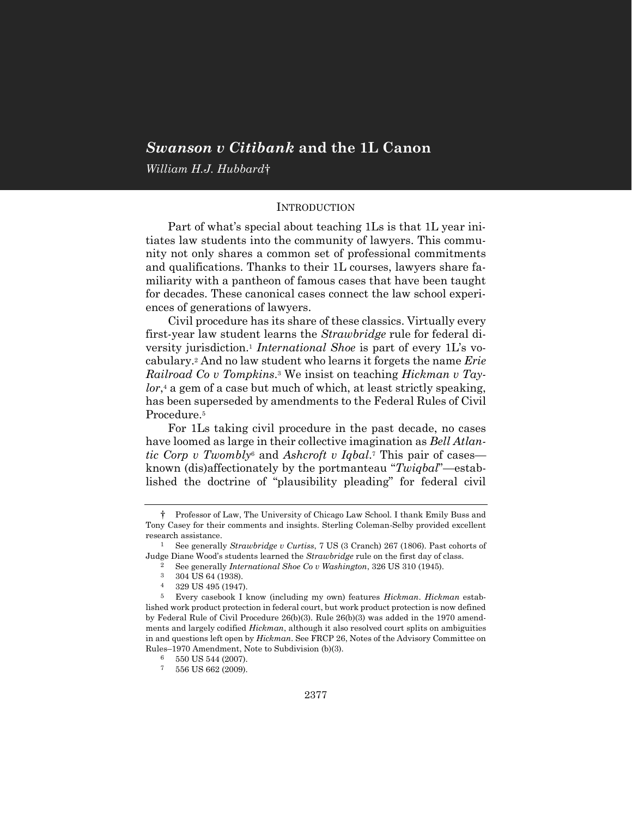## *Swanson v Citibank* **and the 1L Canon**

*William H.J. Hubbard*†

## INTRODUCTION

Part of what's special about teaching 1Ls is that 1L year initiates law students into the community of lawyers. This community not only shares a common set of professional commitments and qualifications. Thanks to their 1L courses, lawyers share familiarity with a pantheon of famous cases that have been taught for decades. These canonical cases connect the law school experiences of generations of lawyers.

Civil procedure has its share of these classics. Virtually every first-year law student learns the *Strawbridge* rule for federal diversity jurisdiction.<sup>1</sup> *International Shoe* is part of every 1L's vocabulary.<sup>2</sup> And no law student who learns it forgets the name *Erie Railroad Co v Tompkins*. <sup>3</sup> We insist on teaching *Hickman v Taylor*, <sup>4</sup> a gem of a case but much of which, at least strictly speaking, has been superseded by amendments to the Federal Rules of Civil Procedure.<sup>5</sup>

For 1Ls taking civil procedure in the past decade, no cases have loomed as large in their collective imagination as *Bell Atlantic Corp v Twombly*<sup>6</sup> and *Ashcroft v Iqbal*. <sup>7</sup> This pair of cases known (dis)affectionately by the portmanteau "*Twiqbal*"—established the doctrine of "plausibility pleading" for federal civil

- 3 304 US 64 (1938).
- 4 329 US 495 (1947).

<sup>†</sup> Professor of Law, The University of Chicago Law School. I thank Emily Buss and Tony Casey for their comments and insights. Sterling Coleman-Selby provided excellent research assistance.

<sup>1</sup> See generally *Strawbridge v Curtiss*, 7 US (3 Cranch) 267 (1806). Past cohorts of Judge Diane Wood's students learned the *Strawbridge* rule on the first day of class.

<sup>&</sup>lt;sup>2</sup> See generally *International Shoe Co v Washington*, 326 US 310 (1945).<br><sup>3</sup> 304 US 64 (1938)

<sup>5</sup> Every casebook I know (including my own) features *Hickman*. *Hickman* established work product protection in federal court, but work product protection is now defined by Federal Rule of Civil Procedure 26(b)(3). Rule 26(b)(3) was added in the 1970 amendments and largely codified *Hickman*, although it also resolved court splits on ambiguities in and questions left open by *Hickman*. See FRCP 26, Notes of the Advisory Committee on Rules–1970 Amendment, Note to Subdivision (b)(3).

 $\frac{6}{7}$  550 US 544 (2007).

<sup>556</sup> US 662 (2009).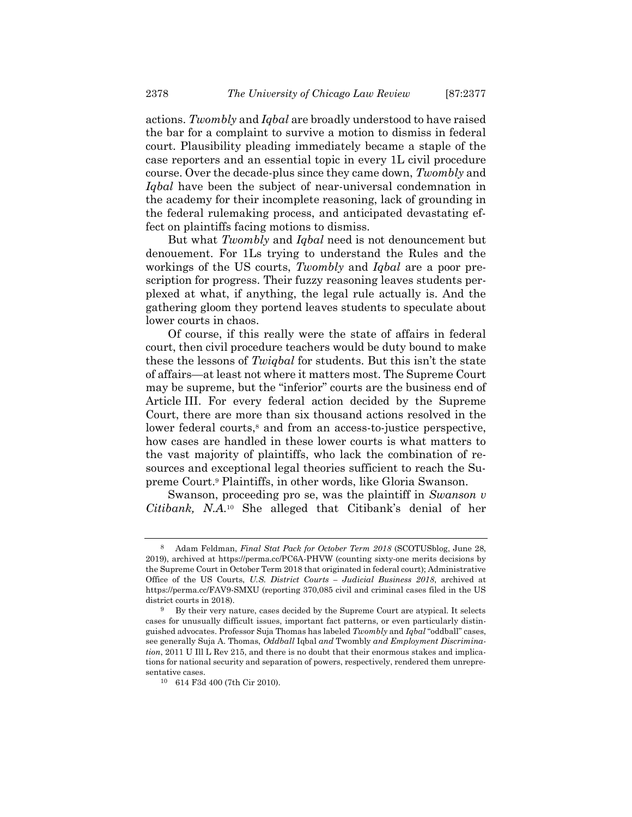actions. *Twombly* and *Iqbal* are broadly understood to have raised the bar for a complaint to survive a motion to dismiss in federal court. Plausibility pleading immediately became a staple of the case reporters and an essential topic in every 1L civil procedure course. Over the decade-plus since they came down, *Twombly* and *Iqbal* have been the subject of near-universal condemnation in the academy for their incomplete reasoning, lack of grounding in the federal rulemaking process, and anticipated devastating effect on plaintiffs facing motions to dismiss.

But what *Twombly* and *Iqbal* need is not denouncement but denouement. For 1Ls trying to understand the Rules and the workings of the US courts, *Twombly* and *Iqbal* are a poor prescription for progress. Their fuzzy reasoning leaves students perplexed at what, if anything, the legal rule actually is. And the gathering gloom they portend leaves students to speculate about lower courts in chaos.

Of course, if this really were the state of affairs in federal court, then civil procedure teachers would be duty bound to make these the lessons of *Twiqbal* for students. But this isn't the state of affairs—at least not where it matters most. The Supreme Court may be supreme, but the "inferior" courts are the business end of Article III. For every federal action decided by the Supreme Court, there are more than six thousand actions resolved in the lower federal courts,<sup>8</sup> and from an access-to-justice perspective, how cases are handled in these lower courts is what matters to the vast majority of plaintiffs, who lack the combination of resources and exceptional legal theories sufficient to reach the Supreme Court.<sup>9</sup> Plaintiffs, in other words, like Gloria Swanson.

Swanson, proceeding pro se, was the plaintiff in *Swanson v Citibank, N.A.* <sup>10</sup> She alleged that Citibank's denial of her

<sup>8</sup> Adam Feldman, *Final Stat Pack for October Term 2018* (SCOTUSblog, June 28, 2019), archived at https://perma.cc/PC6A-PHVW (counting sixty-one merits decisions by the Supreme Court in October Term 2018 that originated in federal court); Administrative Office of the US Courts, *U.S. District Courts – Judicial Business 2018*, archived at https://perma.cc/FAV9-SMXU (reporting 370,085 civil and criminal cases filed in the US district courts in 2018).

<sup>&</sup>lt;sup>9</sup> By their very nature, cases decided by the Supreme Court are atypical. It selects cases for unusually difficult issues, important fact patterns, or even particularly distinguished advocates. Professor Suja Thomas has labeled *Twombly* and *Iqbal* "oddball" cases, see generally Suja A. Thomas, *Oddball* Iqbal *and* Twombly *and Employment Discrimination*, 2011 U Ill L Rev 215, and there is no doubt that their enormous stakes and implications for national security and separation of powers, respectively, rendered them unrepresentative cases.

<sup>10</sup> 614 F3d 400 (7th Cir 2010).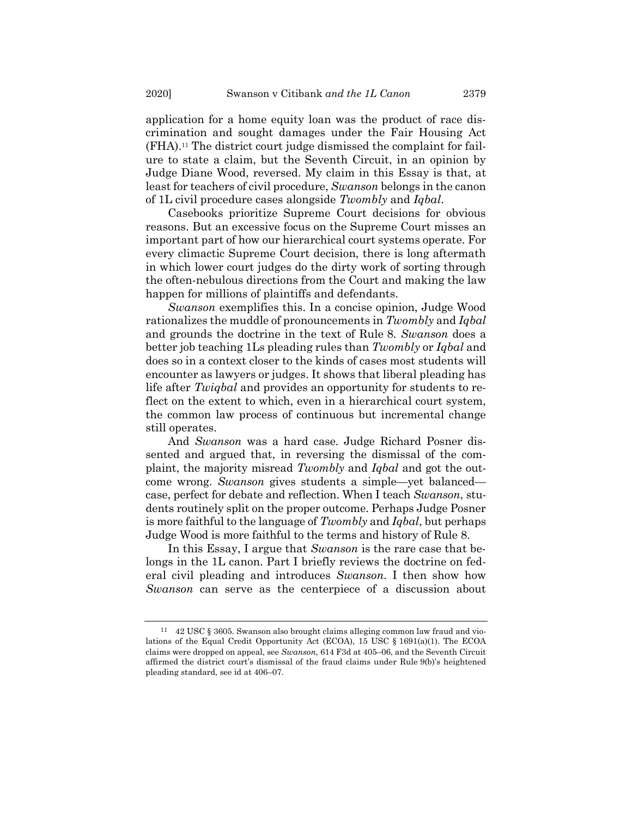application for a home equity loan was the product of race discrimination and sought damages under the Fair Housing Act (FHA). <sup>11</sup> The district court judge dismissed the complaint for failure to state a claim, but the Seventh Circuit, in an opinion by Judge Diane Wood, reversed. My claim in this Essay is that, at least for teachers of civil procedure, *Swanson* belongs in the canon of 1L civil procedure cases alongside *Twombly* and *Iqbal*.

Casebooks prioritize Supreme Court decisions for obvious reasons. But an excessive focus on the Supreme Court misses an important part of how our hierarchical court systems operate. For every climactic Supreme Court decision, there is long aftermath in which lower court judges do the dirty work of sorting through the often-nebulous directions from the Court and making the law happen for millions of plaintiffs and defendants.

*Swanson* exemplifies this. In a concise opinion, Judge Wood rationalizes the muddle of pronouncements in *Twombly* and *Iqbal* and grounds the doctrine in the text of Rule 8. *Swanson* does a better job teaching 1Ls pleading rules than *Twombly* or *Iqbal* and does so in a context closer to the kinds of cases most students will encounter as lawyers or judges. It shows that liberal pleading has life after *Twiqbal* and provides an opportunity for students to reflect on the extent to which, even in a hierarchical court system, the common law process of continuous but incremental change still operates.

And *Swanson* was a hard case. Judge Richard Posner dissented and argued that, in reversing the dismissal of the complaint, the majority misread *Twombly* and *Iqbal* and got the outcome wrong. *Swanson* gives students a simple—yet balanced case, perfect for debate and reflection. When I teach *Swanson*, students routinely split on the proper outcome. Perhaps Judge Posner is more faithful to the language of *Twombly* and *Iqbal*, but perhaps Judge Wood is more faithful to the terms and history of Rule 8.

In this Essay, I argue that *Swanson* is the rare case that belongs in the 1L canon. Part I briefly reviews the doctrine on federal civil pleading and introduces *Swanson*. I then show how *Swanson* can serve as the centerpiece of a discussion about

<sup>11</sup> 42 USC § 3605. Swanson also brought claims alleging common law fraud and violations of the Equal Credit Opportunity Act (ECOA), 15 USC § 1691(a)(1). The ECOA claims were dropped on appeal, see *Swanson*, 614 F3d at 405–06, and the Seventh Circuit affirmed the district court's dismissal of the fraud claims under Rule 9(b)'s heightened pleading standard, see id at 406–07.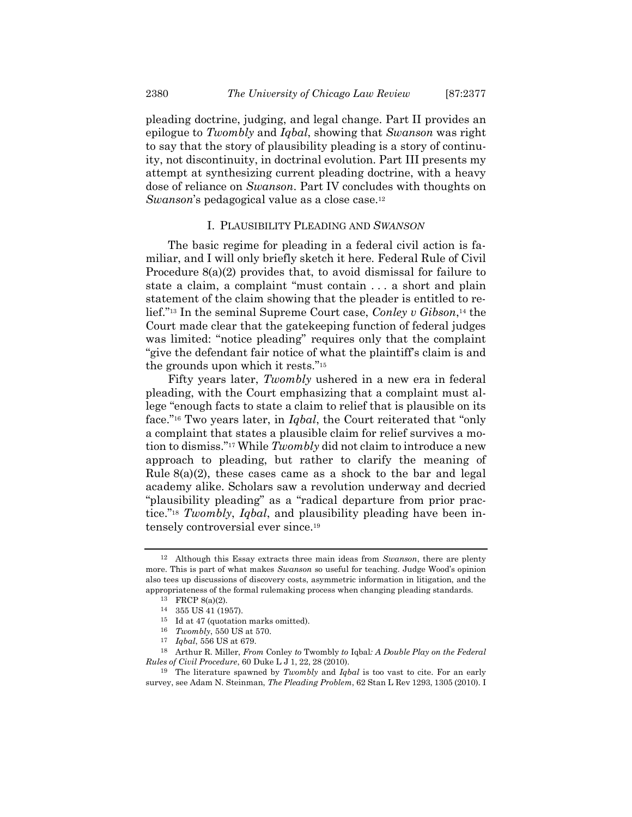pleading doctrine, judging, and legal change. Part II provides an epilogue to *Twombly* and *Iqbal*, showing that *Swanson* was right to say that the story of plausibility pleading is a story of continuity, not discontinuity, in doctrinal evolution. Part III presents my attempt at synthesizing current pleading doctrine, with a heavy dose of reliance on *Swanson*. Part IV concludes with thoughts on *Swanson*'s pedagogical value as a close case.<sup>12</sup>

#### I. PLAUSIBILITY PLEADING AND *SWANSON*

The basic regime for pleading in a federal civil action is familiar, and I will only briefly sketch it here. Federal Rule of Civil Procedure 8(a)(2) provides that, to avoid dismissal for failure to state a claim, a complaint "must contain . . . a short and plain statement of the claim showing that the pleader is entitled to relief."<sup>13</sup> In the seminal Supreme Court case, *Conley v Gibson*, <sup>14</sup> the Court made clear that the gatekeeping function of federal judges was limited: "notice pleading" requires only that the complaint "give the defendant fair notice of what the plaintiff's claim is and the grounds upon which it rests."<sup>15</sup>

Fifty years later, *Twombly* ushered in a new era in federal pleading, with the Court emphasizing that a complaint must allege "enough facts to state a claim to relief that is plausible on its face."<sup>16</sup> Two years later, in *Iqbal*, the Court reiterated that "only a complaint that states a plausible claim for relief survives a motion to dismiss."<sup>17</sup> While *Twombly* did not claim to introduce a new approach to pleading, but rather to clarify the meaning of Rule  $8(a)(2)$ , these cases came as a shock to the bar and legal academy alike. Scholars saw a revolution underway and decried "plausibility pleading" as a "radical departure from prior practice."<sup>18</sup> *Twombly*, *Iqbal*, and plausibility pleading have been intensely controversial ever since.<sup>19</sup>

<sup>12</sup> Although this Essay extracts three main ideas from *Swanson*, there are plenty more. This is part of what makes *Swanson* so useful for teaching. Judge Wood's opinion also tees up discussions of discovery costs, asymmetric information in litigation, and the appropriateness of the formal rulemaking process when changing pleading standards.

<span id="page-4-0"></span><sup>13</sup> FRCP 8(a)(2).

<sup>14</sup> 355 US 41 (1957).

<sup>15</sup> Id at 47 (quotation marks omitted).

<sup>16</sup> *Twombly*, 550 US at 570.

<sup>17</sup> *Iqbal*, 556 US at 679.

<sup>18</sup> Arthur R. Miller, *From* Conley *to* Twombly *to* Iqbal*: A Double Play on the Federal Rules of Civil Procedure*, 60 Duke L J 1, 22, 28 (2010).

<sup>19</sup> The literature spawned by *Twombly* and *Iqbal* is too vast to cite. For an early survey, see Adam N. Steinman, *The Pleading Problem*, 62 Stan L Rev 1293, 1305 (2010). I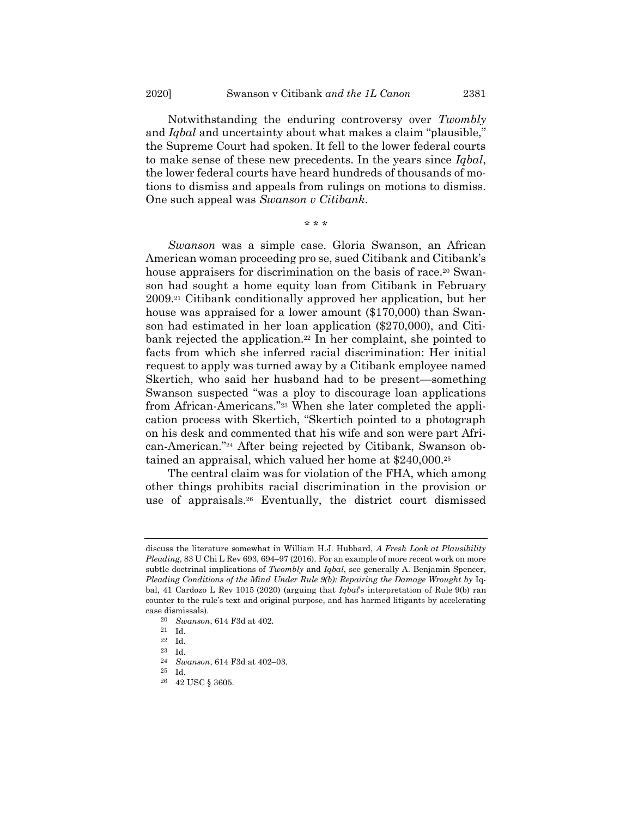Notwithstanding the enduring controversy over *Twombly* and *Iqbal* and uncertainty about what makes a claim "plausible," the Supreme Court had spoken. It fell to the lower federal courts to make sense of these new precedents. In the years since *Iqbal*, the lower federal courts have heard hundreds of thousands of motions to dismiss and appeals from rulings on motions to dismiss. One such appeal was *Swanson v Citibank*.

\* \* \*

*Swanson* was a simple case. Gloria Swanson, an African American woman proceeding pro se, sued Citibank and Citibank's house appraisers for discrimination on the basis of race.<sup>20</sup> Swanson had sought a home equity loan from Citibank in February 2009.<sup>21</sup> Citibank conditionally approved her application, but her house was appraised for a lower amount (\$170,000) than Swanson had estimated in her loan application (\$270,000), and Citibank rejected the application.<sup>22</sup> In her complaint, she pointed to facts from which she inferred racial discrimination: Her initial request to apply was turned away by a Citibank employee named Skertich, who said her husband had to be present—something Swanson suspected "was a ploy to discourage loan applications from African-Americans."<sup>23</sup> When she later completed the application process with Skertich, "Skertich pointed to a photograph on his desk and commented that his wife and son were part African-American."<sup>24</sup> After being rejected by Citibank, Swanson obtained an appraisal, which valued her home at \$240,000.<sup>25</sup>

The central claim was for violation of the FHA, which among other things prohibits racial discrimination in the provision or use of appraisals.<sup>26</sup> Eventually, the district court dismissed

23 Id.

discuss the literature somewhat in William H.J. Hubbard, *A Fresh Look at Plausibility Pleading*, 83 U Chi L Rev 693, 694–97 (2016). For an example of more recent work on more subtle doctrinal implications of *Twombly* and *Iqbal*, see generally A. Benjamin Spencer, *Pleading Conditions of the Mind Under Rule 9(b): Repairing the Damage Wrought by* Iqbal, 41 Cardozo L Rev 1015 (2020) (arguing that *Iqbal*'s interpretation of Rule 9(b) ran counter to the rule's text and original purpose, and has harmed litigants by accelerating case dismissals).

<sup>20</sup> *Swanson*, 614 F3d at 402.

<sup>21</sup> Id.

<sup>22</sup> Id.

<sup>24</sup> *Swanson*, 614 F3d at 402–03.

<sup>25</sup> Id.

<sup>26</sup> 42 USC § 3605.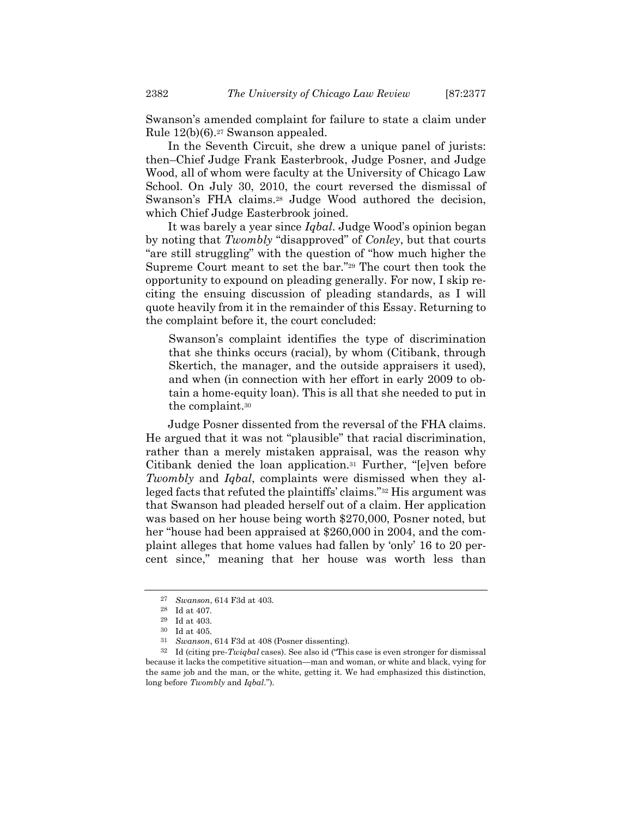Swanson's amended complaint for failure to state a claim under Rule 12(b)(6).<sup>27</sup> Swanson appealed.

In the Seventh Circuit, she drew a unique panel of jurists: then–Chief Judge Frank Easterbrook, Judge Posner, and Judge Wood, all of whom were faculty at the University of Chicago Law School. On July 30, 2010, the court reversed the dismissal of Swanson's FHA claims.<sup>28</sup> Judge Wood authored the decision, which Chief Judge Easterbrook joined.

It was barely a year since *Iqbal*. Judge Wood's opinion began by noting that *Twombly* "disapproved" of *Conley*, but that courts "are still struggling" with the question of "how much higher the Supreme Court meant to set the bar."<sup>29</sup> The court then took the opportunity to expound on pleading generally. For now, I skip reciting the ensuing discussion of pleading standards, as I will quote heavily from it in the remainder of this Essay. Returning to the complaint before it, the court concluded:

<span id="page-6-0"></span>Swanson's complaint identifies the type of discrimination that she thinks occurs (racial), by whom (Citibank, through Skertich, the manager, and the outside appraisers it used), and when (in connection with her effort in early 2009 to obtain a home-equity loan). This is all that she needed to put in the complaint.<sup>30</sup>

<span id="page-6-1"></span>Judge Posner dissented from the reversal of the FHA claims. He argued that it was not "plausible" that racial discrimination, rather than a merely mistaken appraisal, was the reason why Citibank denied the loan application.<sup>31</sup> Further, "[e]ven before *Twombly* and *Iqbal*, complaints were dismissed when they alleged facts that refuted the plaintiffs' claims."<sup>32</sup> His argument was that Swanson had pleaded herself out of a claim. Her application was based on her house being worth \$270,000, Posner noted, but her "house had been appraised at \$260,000 in 2004, and the complaint alleges that home values had fallen by 'only' 16 to 20 percent since," meaning that her house was worth less than

<sup>27</sup> *Swanson*, 614 F3d at 403.

<sup>28</sup> Id at 407.

<sup>29</sup> Id at 403.

<sup>30</sup> Id at 405.

<sup>31</sup> *Swanson*, 614 F3d at 408 (Posner dissenting).

<sup>32</sup> Id (citing pre-*Twiqbal* cases). See also id ("This case is even stronger for dismissal because it lacks the competitive situation—man and woman, or white and black, vying for the same job and the man, or the white, getting it. We had emphasized this distinction, long before *Twombly* and *Iqbal*.").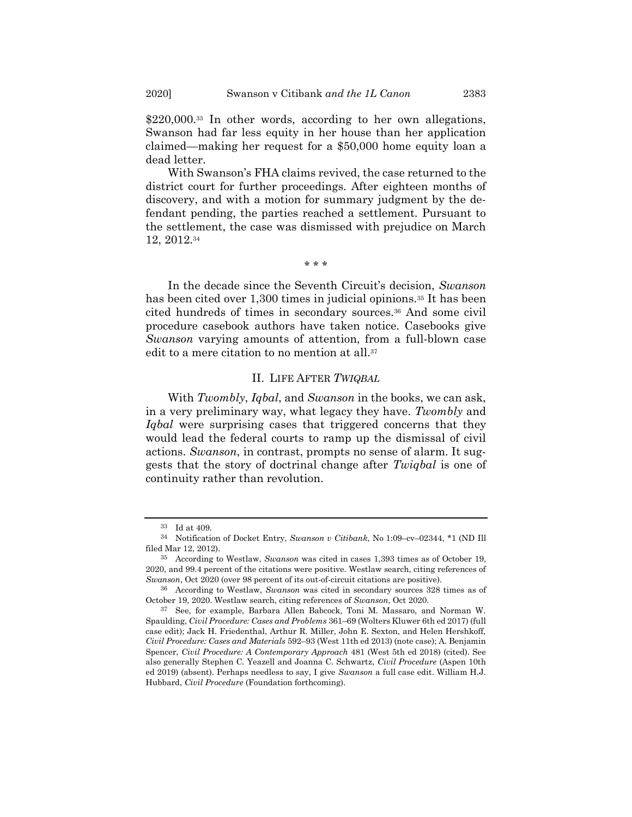<span id="page-7-0"></span>\$220,000.<sup>33</sup> In other words, according to her own allegations, Swanson had far less equity in her house than her application claimed—making her request for a \$50,000 home equity loan a dead letter.

With Swanson's FHA claims revived, the case returned to the district court for further proceedings. After eighteen months of discovery, and with a motion for summary judgment by the defendant pending, the parties reached a settlement. Pursuant to the settlement, the case was dismissed with prejudice on March 12, 2012.<sup>34</sup>

\* \* \*

In the decade since the Seventh Circuit's decision, *Swanson* has been cited over 1,300 times in judicial opinions.<sup>35</sup> It has been cited hundreds of times in secondary sources.<sup>36</sup> And some civil procedure casebook authors have taken notice. Casebooks give *Swanson* varying amounts of attention, from a full-blown case edit to a mere citation to no mention at all.<sup>37</sup>

## II. LIFE AFTER *TWIQBAL*

With *Twombly*, *Iqbal*, and *Swanson* in the books, we can ask, in a very preliminary way, what legacy they have. *Twombly* and *Iqbal* were surprising cases that triggered concerns that they would lead the federal courts to ramp up the dismissal of civil actions. *Swanson*, in contrast, prompts no sense of alarm. It suggests that the story of doctrinal change after *Twiqbal* is one of continuity rather than revolution.

<sup>33</sup> Id at 409.

<sup>34</sup> Notification of Docket Entry, *Swanson v Citibank*, No 1:09–cv–02344, \*1 (ND Ill filed Mar 12, 2012).

<sup>35</sup> According to Westlaw, *Swanson* was cited in cases 1,393 times as of October 19, 2020, and 99.4 percent of the citations were positive. Westlaw search, citing references of *Swanson*, Oct 2020 (over 98 percent of its out-of-circuit citations are positive).

<sup>36</sup> According to Westlaw, *Swanson* was cited in secondary sources 328 times as of October 19, 2020. Westlaw search, citing references of *Swanson*, Oct 2020.

<sup>37</sup> See, for example, Barbara Allen Babcock, Toni M. Massaro, and Norman W. Spaulding, *Civil Procedure: Cases and Problems* 361–69 (Wolters Kluwer 6th ed 2017) (full case edit); Jack H. Friedenthal, Arthur R. Miller, John E. Sexton, and Helen Hershkoff, *Civil Procedure: Cases and Materials* 592–93 (West 11th ed 2013) (note case); A. Benjamin Spencer, *Civil Procedure: A Contemporary Approach* 481 (West 5th ed 2018) (cited). See also generally Stephen C. Yeazell and Joanna C. Schwartz, *Civil Procedure* (Aspen 10th ed 2019) (absent). Perhaps needless to say, I give *Swanson* a full case edit. William H.J. Hubbard, *Civil Procedure* (Foundation forthcoming).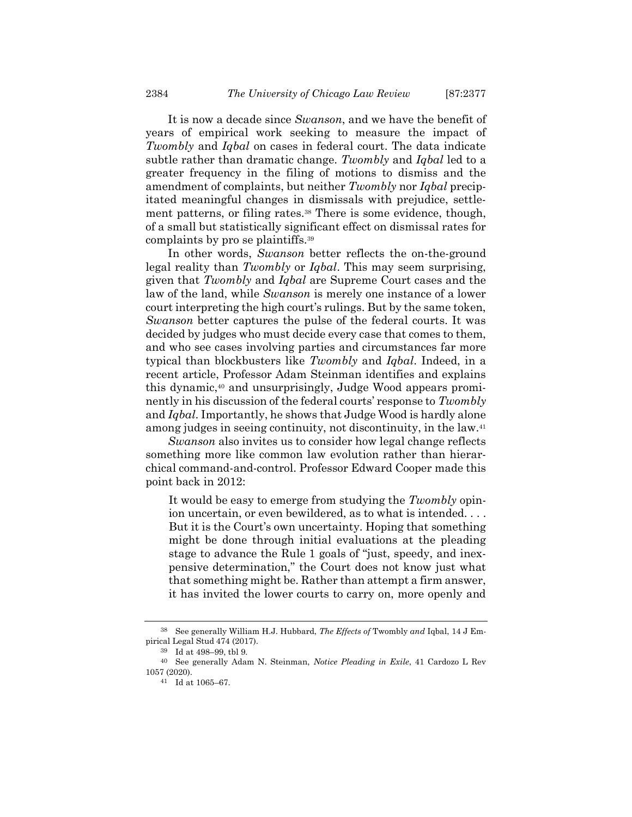It is now a decade since *Swanson*, and we have the benefit of years of empirical work seeking to measure the impact of *Twombly* and *Iqbal* on cases in federal court. The data indicate subtle rather than dramatic change. *Twombly* and *Iqbal* led to a greater frequency in the filing of motions to dismiss and the amendment of complaints, but neither *Twombly* nor *Iqbal* precipitated meaningful changes in dismissals with prejudice, settlement patterns, or filing rates.<sup>38</sup> There is some evidence, though, of a small but statistically significant effect on dismissal rates for complaints by pro se plaintiffs.<sup>39</sup>

In other words, *Swanson* better reflects the on-the-ground legal reality than *Twombly* or *Iqbal*. This may seem surprising, given that *Twombly* and *Iqbal* are Supreme Court cases and the law of the land, while *Swanson* is merely one instance of a lower court interpreting the high court's rulings. But by the same token, *Swanson* better captures the pulse of the federal courts. It was decided by judges who must decide every case that comes to them, and who see cases involving parties and circumstances far more typical than blockbusters like *Twombly* and *Iqbal*. Indeed, in a recent article, Professor Adam Steinman identifies and explains this dynamic,<sup>40</sup> and unsurprisingly, Judge Wood appears prominently in his discussion of the federal courts' response to *Twombly* and *Iqbal*. Importantly, he shows that Judge Wood is hardly alone among judges in seeing continuity, not discontinuity, in the law.<sup>41</sup>

*Swanson* also invites us to consider how legal change reflects something more like common law evolution rather than hierarchical command-and-control. Professor Edward Cooper made this point back in 2012:

It would be easy to emerge from studying the *Twombly* opinion uncertain, or even bewildered, as to what is intended. . . . But it is the Court's own uncertainty. Hoping that something might be done through initial evaluations at the pleading stage to advance the Rule 1 goals of "just, speedy, and inexpensive determination," the Court does not know just what that something might be. Rather than attempt a firm answer, it has invited the lower courts to carry on, more openly and

<sup>38</sup> See generally William H.J. Hubbard, *The Effects of* Twombly *and* Iqbal, 14 J Empirical Legal Stud 474 (2017).

<sup>39</sup> Id at 498–99, tbl 9.

<sup>40</sup> See generally Adam N. Steinman, *Notice Pleading in Exile*, 41 Cardozo L Rev 1057 (2020).

<sup>41</sup> Id at 1065–67.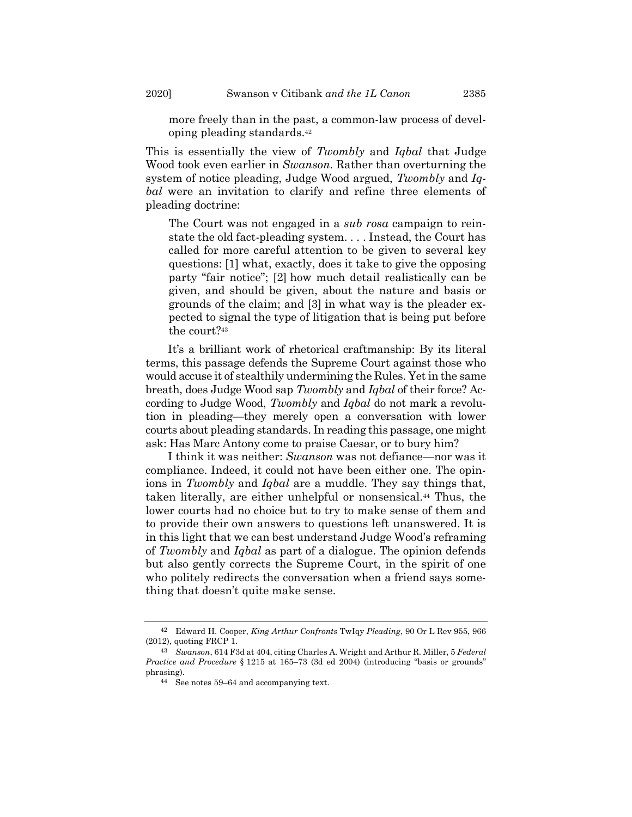more freely than in the past, a common-law process of developing pleading standards.<sup>42</sup>

This is essentially the view of *Twombly* and *Iqbal* that Judge Wood took even earlier in *Swanson*. Rather than overturning the system of notice pleading, Judge Wood argued, *Twombly* and *Iqbal* were an invitation to clarify and refine three elements of pleading doctrine:

The Court was not engaged in a *sub rosa* campaign to reinstate the old fact-pleading system. . . . Instead, the Court has called for more careful attention to be given to several key questions: [1] what, exactly, does it take to give the opposing party "fair notice"; [2] how much detail realistically can be given, and should be given, about the nature and basis or grounds of the claim; and [3] in what way is the pleader expected to signal the type of litigation that is being put before the court?<sup>43</sup>

It's a brilliant work of rhetorical craftmanship: By its literal terms, this passage defends the Supreme Court against those who would accuse it of stealthily undermining the Rules. Yet in the same breath, does Judge Wood sap *Twombly* and *Iqbal* of their force? According to Judge Wood, *Twombly* and *Iqbal* do not mark a revolution in pleading—they merely open a conversation with lower courts about pleading standards. In reading this passage, one might ask: Has Marc Antony come to praise Caesar, or to bury him?

I think it was neither: *Swanson* was not defiance—nor was it compliance. Indeed, it could not have been either one. The opinions in *Twombly* and *Iqbal* are a muddle. They say things that, taken literally, are either unhelpful or nonsensical.<sup>44</sup> Thus, the lower courts had no choice but to try to make sense of them and to provide their own answers to questions left unanswered. It is in this light that we can best understand Judge Wood's reframing of *Twombly* and *Iqbal* as part of a dialogue. The opinion defends but also gently corrects the Supreme Court, in the spirit of one who politely redirects the conversation when a friend says something that doesn't quite make sense.

<sup>42</sup> Edward H. Cooper, *King Arthur Confronts* TwIqy *Pleading*, 90 Or L Rev 955, 966 (2012), quoting FRCP 1.

<sup>43</sup> *Swanson*, 614 F3d at 404, citing Charles A. Wright and Arthur R. Miller, 5 *Federal Practice and Procedure* § 1215 at 165–73 (3d ed 2004) (introducing "basis or grounds" phrasing).

<sup>44</sup> See notes [59](#page-15-0)–[64](#page-15-1) and accompanying text.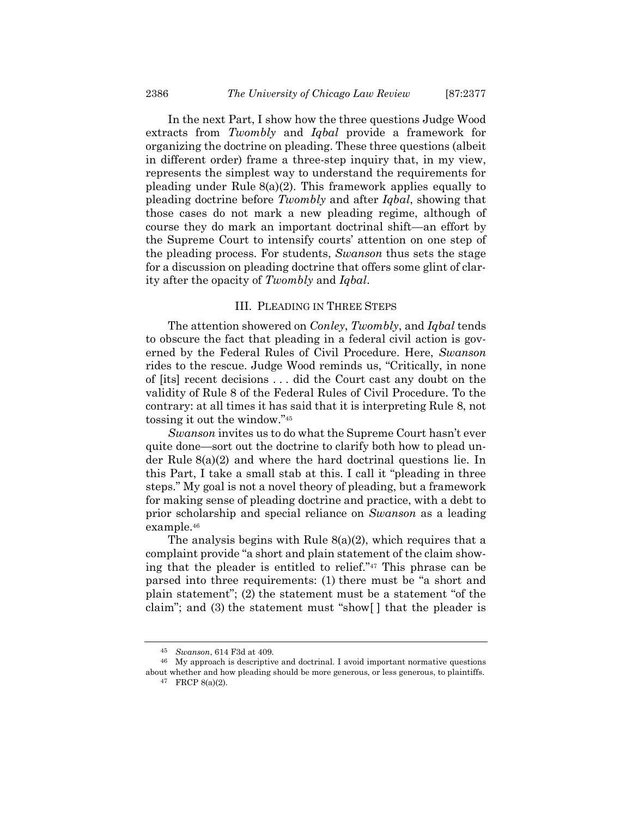In the next Part, I show how the three questions Judge Wood extracts from *Twombly* and *Iqbal* provide a framework for organizing the doctrine on pleading. These three questions (albeit in different order) frame a three-step inquiry that, in my view, represents the simplest way to understand the requirements for pleading under Rule 8(a)(2). This framework applies equally to pleading doctrine before *Twombly* and after *Iqbal*, showing that those cases do not mark a new pleading regime, although of course they do mark an important doctrinal shift—an effort by the Supreme Court to intensify courts' attention on one step of the pleading process. For students, *Swanson* thus sets the stage for a discussion on pleading doctrine that offers some glint of clarity after the opacity of *Twombly* and *Iqbal*.

## III. PLEADING IN THREE STEPS

The attention showered on *Conley*, *Twombly*, and *Iqbal* tends to obscure the fact that pleading in a federal civil action is governed by the Federal Rules of Civil Procedure. Here, *Swanson* rides to the rescue. Judge Wood reminds us, "Critically, in none of [its] recent decisions . . . did the Court cast any doubt on the validity of Rule 8 of the Federal Rules of Civil Procedure. To the contrary: at all times it has said that it is interpreting Rule 8, not tossing it out the window."<sup>45</sup>

*Swanson* invites us to do what the Supreme Court hasn't ever quite done—sort out the doctrine to clarify both how to plead under Rule 8(a)(2) and where the hard doctrinal questions lie. In this Part, I take a small stab at this. I call it "pleading in three steps." My goal is not a novel theory of pleading, but a framework for making sense of pleading doctrine and practice, with a debt to prior scholarship and special reliance on *Swanson* as a leading example.<sup>46</sup>

The analysis begins with Rule 8(a)(2), which requires that a complaint provide "a short and plain statement of the claim showing that the pleader is entitled to relief."<sup>47</sup> This phrase can be parsed into three requirements: (1) there must be "a short and plain statement"; (2) the statement must be a statement "of the claim"; and (3) the statement must "show[ ] that the pleader is

<sup>45</sup> *Swanson*, 614 F3d at 409.

<sup>46</sup> My approach is descriptive and doctrinal. I avoid important normative questions about whether and how pleading should be more generous, or less generous, to plaintiffs.

<sup>47</sup> FRCP 8(a)(2).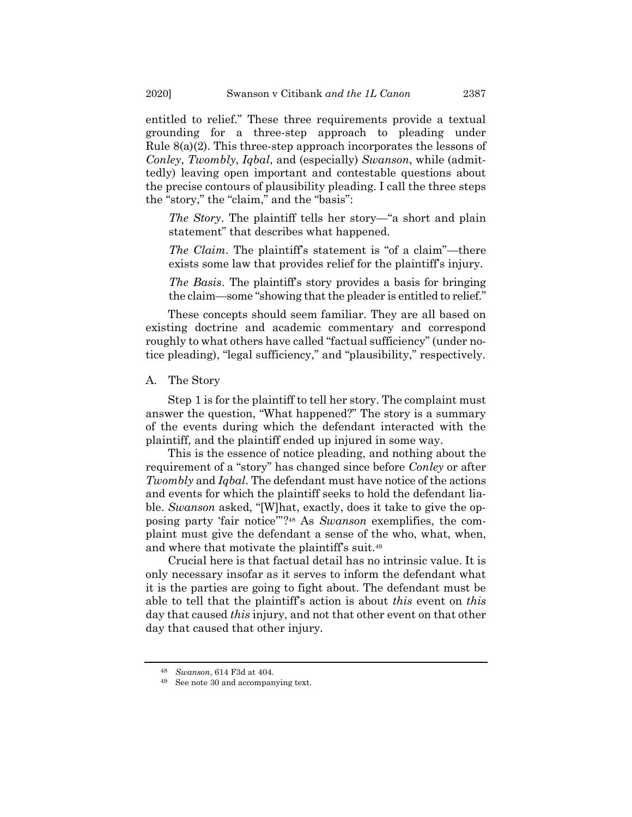entitled to relief." These three requirements provide a textual grounding for a three-step approach to pleading under Rule 8(a)(2). This three-step approach incorporates the lessons of *Conley*, *Twombly*, *Iqbal*, and (especially) *Swanson*, while (admittedly) leaving open important and contestable questions about the precise contours of plausibility pleading. I call the three steps the "story," the "claim," and the "basis":

*The Story*. The plaintiff tells her story—"a short and plain statement" that describes what happened.

*The Claim.* The plaintiff's statement is "of a claim"—there exists some law that provides relief for the plaintiff's injury.

*The Basis*. The plaintiff's story provides a basis for bringing the claim—some "showing that the pleader is entitled to relief."

These concepts should seem familiar. They are all based on existing doctrine and academic commentary and correspond roughly to what others have called "factual sufficiency" (under notice pleading), "legal sufficiency," and "plausibility," respectively.

## A. The Story

Step 1 is for the plaintiff to tell her story. The complaint must answer the question, "What happened?" The story is a summary of the events during which the defendant interacted with the plaintiff, and the plaintiff ended up injured in some way.

This is the essence of notice pleading, and nothing about the requirement of a "story" has changed since before *Conley* or after *Twombly* and *Iqbal*. The defendant must have notice of the actions and events for which the plaintiff seeks to hold the defendant liable. *Swanson* asked, "[W]hat, exactly, does it take to give the opposing party 'fair notice'"? <sup>48</sup> As *Swanson* exemplifies, the complaint must give the defendant a sense of the who, what, when, and where that motivate the plaintiff's suit.<sup>49</sup>

Crucial here is that factual detail has no intrinsic value. It is only necessary insofar as it serves to inform the defendant what it is the parties are going to fight about. The defendant must be able to tell that the plaintiff's action is about *this* event on *this* day that caused *this* injury, and not that other event on that other day that caused that other injury.

<sup>48</sup> *Swanson*, 614 F3d at 404.

<sup>49</sup> See not[e 30](#page-6-0) and accompanying text.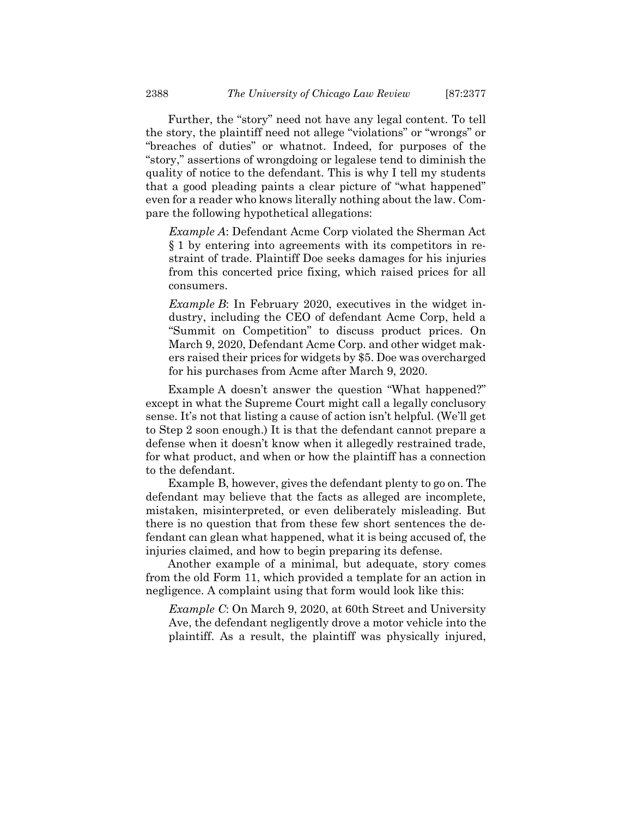Further, the "story" need not have any legal content. To tell the story, the plaintiff need not allege "violations" or "wrongs" or "breaches of duties" or whatnot. Indeed, for purposes of the "story," assertions of wrongdoing or legalese tend to diminish the quality of notice to the defendant. This is why I tell my students that a good pleading paints a clear picture of "what happened" even for a reader who knows literally nothing about the law. Compare the following hypothetical allegations:

*Example A*: Defendant Acme Corp violated the Sherman Act § 1 by entering into agreements with its competitors in restraint of trade. Plaintiff Doe seeks damages for his injuries from this concerted price fixing, which raised prices for all consumers.

*Example B*: In February 2020, executives in the widget industry, including the CEO of defendant Acme Corp, held a "Summit on Competition" to discuss product prices. On March 9, 2020, Defendant Acme Corp. and other widget makers raised their prices for widgets by \$5. Doe was overcharged for his purchases from Acme after March 9, 2020.

Example A doesn't answer the question "What happened?" except in what the Supreme Court might call a legally conclusory sense. It's not that listing a cause of action isn't helpful. (We'll get to Step 2 soon enough.) It is that the defendant cannot prepare a defense when it doesn't know when it allegedly restrained trade, for what product, and when or how the plaintiff has a connection to the defendant.

Example B, however, gives the defendant plenty to go on. The defendant may believe that the facts as alleged are incomplete, mistaken, misinterpreted, or even deliberately misleading. But there is no question that from these few short sentences the defendant can glean what happened, what it is being accused of, the injuries claimed, and how to begin preparing its defense.

Another example of a minimal, but adequate, story comes from the old Form 11, which provided a template for an action in negligence. A complaint using that form would look like this:

*Example C*: On March 9, 2020, at 60th Street and University Ave, the defendant negligently drove a motor vehicle into the plaintiff. As a result, the plaintiff was physically injured,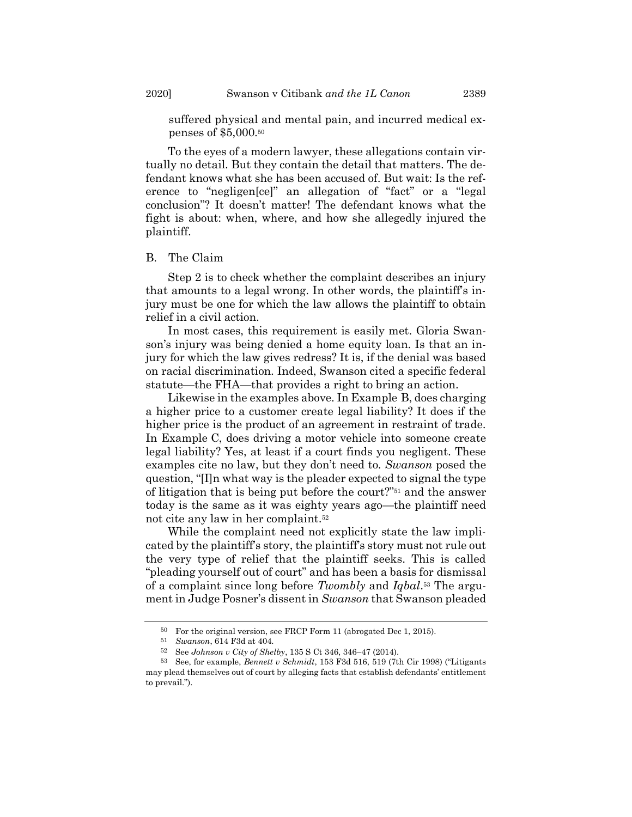suffered physical and mental pain, and incurred medical expenses of \$5,000.<sup>50</sup>

To the eyes of a modern lawyer, these allegations contain virtually no detail. But they contain the detail that matters. The defendant knows what she has been accused of. But wait: Is the reference to "negligen[ce]" an allegation of "fact" or a "legal conclusion"? It doesn't matter! The defendant knows what the fight is about: when, where, and how she allegedly injured the plaintiff.

## B. The Claim

Step 2 is to check whether the complaint describes an injury that amounts to a legal wrong. In other words, the plaintiff's injury must be one for which the law allows the plaintiff to obtain relief in a civil action.

In most cases, this requirement is easily met. Gloria Swanson's injury was being denied a home equity loan. Is that an injury for which the law gives redress? It is, if the denial was based on racial discrimination. Indeed, Swanson cited a specific federal statute—the FHA—that provides a right to bring an action.

Likewise in the examples above. In Example B, does charging a higher price to a customer create legal liability? It does if the higher price is the product of an agreement in restraint of trade. In Example C, does driving a motor vehicle into someone create legal liability? Yes, at least if a court finds you negligent. These examples cite no law, but they don't need to. *Swanson* posed the question, "[I]n what way is the pleader expected to signal the type of litigation that is being put before the court?"<sup>51</sup> and the answer today is the same as it was eighty years ago—the plaintiff need not cite any law in her complaint.<sup>52</sup>

While the complaint need not explicitly state the law implicated by the plaintiff's story, the plaintiff's story must not rule out the very type of relief that the plaintiff seeks. This is called "pleading yourself out of court" and has been a basis for dismissal of a complaint since long before *Twombly* and *Iqbal*. <sup>53</sup> The argument in Judge Posner's dissent in *Swanson* that Swanson pleaded

<sup>50</sup> For the original version, see FRCP Form 11 (abrogated Dec 1, 2015).

<sup>51</sup> *Swanson*, 614 F3d at 404.

<sup>52</sup> See *Johnson v City of Shelby*, 135 S Ct 346, 346–47 (2014).

<sup>53</sup> See, for example, *Bennett v Schmidt*, 153 F3d 516, 519 (7th Cir 1998) ("Litigants may plead themselves out of court by alleging facts that establish defendants' entitlement to prevail.").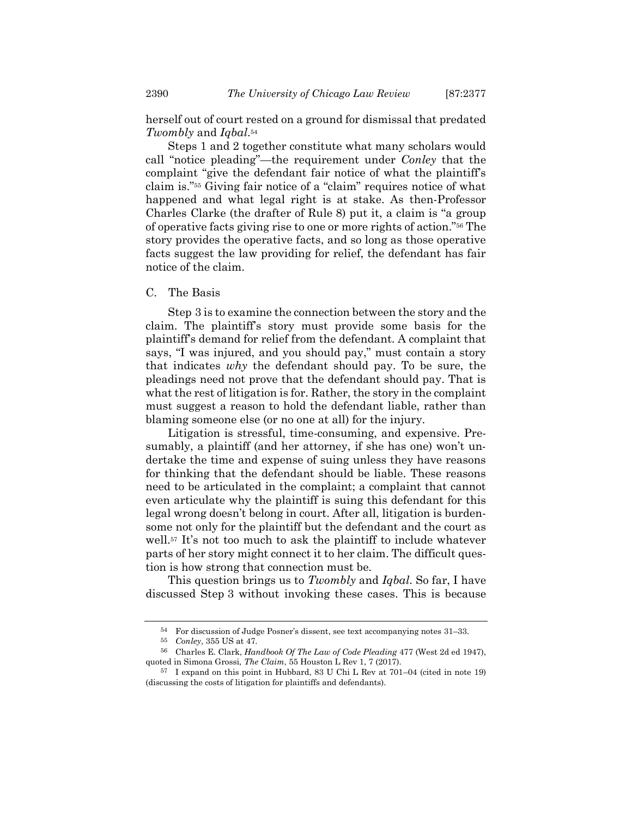herself out of court rested on a ground for dismissal that predated *Twombly* and *Iqbal*. 54

Steps 1 and 2 together constitute what many scholars would call "notice pleading"—the requirement under *Conley* that the complaint "give the defendant fair notice of what the plaintiff's claim is."<sup>55</sup> Giving fair notice of a "claim" requires notice of what happened and what legal right is at stake. As then-Professor Charles Clarke (the drafter of Rule 8) put it, a claim is "a group of operative facts giving rise to one or more rights of action."<sup>56</sup> The story provides the operative facts, and so long as those operative facts suggest the law providing for relief, the defendant has fair notice of the claim.

## C. The Basis

Step 3 is to examine the connection between the story and the claim. The plaintiff's story must provide some basis for the plaintiff's demand for relief from the defendant. A complaint that says, "I was injured, and you should pay," must contain a story that indicates *why* the defendant should pay. To be sure, the pleadings need not prove that the defendant should pay. That is what the rest of litigation is for. Rather, the story in the complaint must suggest a reason to hold the defendant liable, rather than blaming someone else (or no one at all) for the injury.

Litigation is stressful, time-consuming, and expensive. Presumably, a plaintiff (and her attorney, if she has one) won't undertake the time and expense of suing unless they have reasons for thinking that the defendant should be liable. These reasons need to be articulated in the complaint; a complaint that cannot even articulate why the plaintiff is suing this defendant for this legal wrong doesn't belong in court. After all, litigation is burdensome not only for the plaintiff but the defendant and the court as well.<sup>57</sup> It's not too much to ask the plaintiff to include whatever parts of her story might connect it to her claim. The difficult question is how strong that connection must be.

This question brings us to *Twombly* and *Iqbal*. So far, I have discussed Step 3 without invoking these cases. This is because

<sup>54</sup> For discussion of Judge Posner's dissent, see text accompanying notes [31](#page-6-1)–[33.](#page-7-0)

<sup>55</sup> *Conley*, 355 US at 47.

<sup>56</sup> Charles E. Clark, *Handbook Of The Law of Code Pleading* 477 (West 2d ed 1947), quoted in Simona Grossi, *The Claim*, 55 Houston L Rev 1, 7 (2017).

<sup>57</sup> I expand on this point in Hubbard, 83 U Chi L Rev at 701–04 (cited in note [19\)](#page-4-0) (discussing the costs of litigation for plaintiffs and defendants).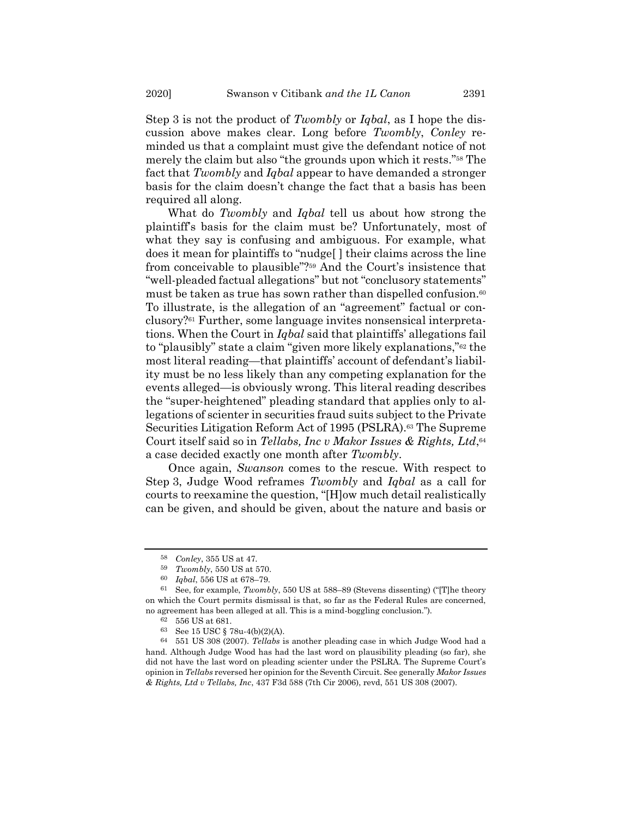Step 3 is not the product of *Twombly* or *Iqbal*, as I hope the discussion above makes clear. Long before *Twombly*, *Conley* reminded us that a complaint must give the defendant notice of not merely the claim but also "the grounds upon which it rests."<sup>58</sup> The fact that *Twombly* and *Iqbal* appear to have demanded a stronger basis for the claim doesn't change the fact that a basis has been required all along.

<span id="page-15-0"></span>What do *Twombly* and *Iqbal* tell us about how strong the plaintiff's basis for the claim must be? Unfortunately, most of what they say is confusing and ambiguous. For example, what does it mean for plaintiffs to "nudge[ ] their claims across the line from conceivable to plausible"?<sup>59</sup> And the Court's insistence that "well-pleaded factual allegations" but not "conclusory statements" must be taken as true has sown rather than dispelled confusion.<sup>60</sup> To illustrate, is the allegation of an "agreement" factual or conclusory?<sup>61</sup> Further, some language invites nonsensical interpretations. When the Court in *Iqbal* said that plaintiffs' allegations fail to "plausibly" state a claim "given more likely explanations,"<sup>62</sup> the most literal reading—that plaintiffs' account of defendant's liability must be no less likely than any competing explanation for the events alleged—is obviously wrong. This literal reading describes the "super-heightened" pleading standard that applies only to allegations of scienter in securities fraud suits subject to the Private Securities Litigation Reform Act of 1995 (PSLRA). <sup>63</sup> The Supreme Court itself said so in *Tellabs, Inc v Makor Issues & Rights, Ltd*, 64 a case decided exactly one month after *Twombly*.

<span id="page-15-1"></span>Once again, *Swanson* comes to the rescue. With respect to Step 3, Judge Wood reframes *Twombly* and *Iqbal* as a call for courts to reexamine the question, "[H]ow much detail realistically can be given, and should be given, about the nature and basis or

<sup>58</sup> *Conley*, 355 US at 47.

<sup>59</sup> *Twombly*, 550 US at 570.

<sup>60</sup> *Iqbal*, 556 US at 678–79.

<sup>61</sup> See, for example, *Twombly*, 550 US at 588–89 (Stevens dissenting) ("[T]he theory on which the Court permits dismissal is that, so far as the Federal Rules are concerned, no agreement has been alleged at all. This is a mind-boggling conclusion.").

<sup>62</sup> 556 US at 681.

<sup>63</sup> See 15 USC § 78u-4(b)(2)(A).

<sup>64</sup> 551 US 308 (2007). *Tellabs* is another pleading case in which Judge Wood had a hand. Although Judge Wood has had the last word on plausibility pleading (so far), she did not have the last word on pleading scienter under the PSLRA. The Supreme Court's opinion in *Tellabs* reversed her opinion for the Seventh Circuit. See generally *Makor Issues & Rights, Ltd v Tellabs, Inc*, 437 F3d 588 (7th Cir 2006), revd, 551 US 308 (2007).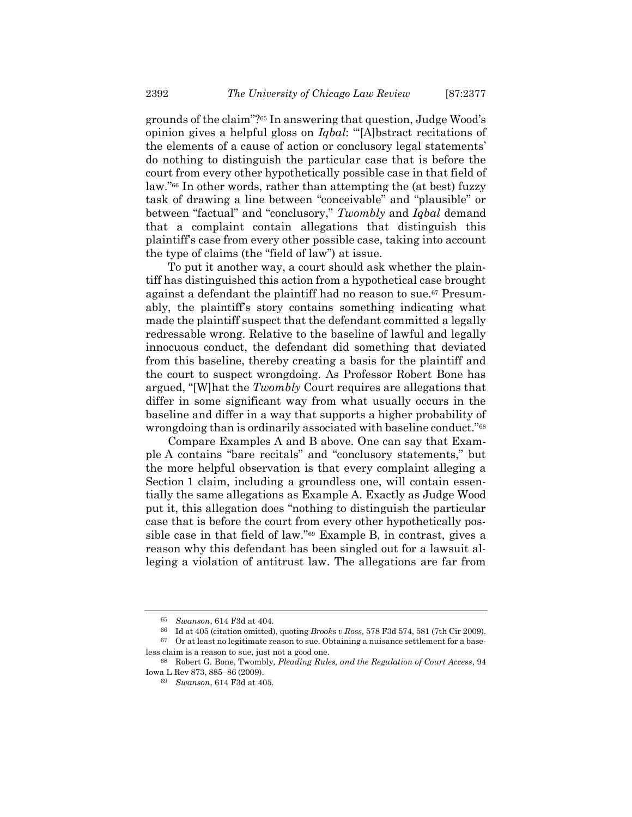grounds of the claim"?<sup>65</sup> In answering that question, Judge Wood's opinion gives a helpful gloss on *Iqbal*: "'[A]bstract recitations of the elements of a cause of action or conclusory legal statements' do nothing to distinguish the particular case that is before the court from every other hypothetically possible case in that field of law." <sup>66</sup> In other words, rather than attempting the (at best) fuzzy task of drawing a line between "conceivable" and "plausible" or between "factual" and "conclusory," *Twombly* and *Iqbal* demand that a complaint contain allegations that distinguish this plaintiff's case from every other possible case, taking into account the type of claims (the "field of law") at issue.

To put it another way, a court should ask whether the plaintiff has distinguished this action from a hypothetical case brought against a defendant the plaintiff had no reason to sue.<sup>67</sup> Presumably, the plaintiff's story contains something indicating what made the plaintiff suspect that the defendant committed a legally redressable wrong. Relative to the baseline of lawful and legally innocuous conduct, the defendant did something that deviated from this baseline, thereby creating a basis for the plaintiff and the court to suspect wrongdoing. As Professor Robert Bone has argued, "[W]hat the *Twombly* Court requires are allegations that differ in some significant way from what usually occurs in the baseline and differ in a way that supports a higher probability of wrongdoing than is ordinarily associated with baseline conduct."<sup>68</sup>

Compare Examples A and B above. One can say that Example A contains "bare recitals" and "conclusory statements," but the more helpful observation is that every complaint alleging a Section 1 claim, including a groundless one, will contain essentially the same allegations as Example A. Exactly as Judge Wood put it, this allegation does "nothing to distinguish the particular case that is before the court from every other hypothetically possible case in that field of law."<sup>69</sup> Example B, in contrast, gives a reason why this defendant has been singled out for a lawsuit alleging a violation of antitrust law. The allegations are far from

<sup>65</sup> *Swanson*, 614 F3d at 404.

<sup>66</sup> Id at 405 (citation omitted), quoting *Brooks v Ross*, 578 F3d 574, 581 (7th Cir 2009).

 $67$  Or at least no legitimate reason to sue. Obtaining a nuisance settlement for a baseless claim is a reason to sue, just not a good one.

<sup>68</sup> Robert G. Bone, Twombly*, Pleading Rules, and the Regulation of Court Access*, 94 Iowa L Rev 873, 885–86 (2009).

<sup>69</sup> *Swanson*, 614 F3d at 405.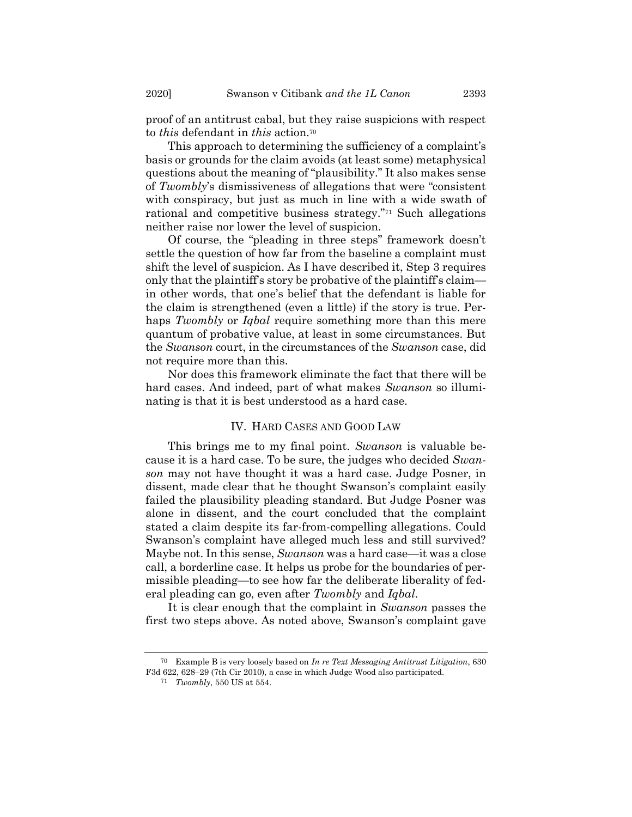proof of an antitrust cabal, but they raise suspicions with respect to *this* defendant in *this* action.<sup>70</sup>

This approach to determining the sufficiency of a complaint's basis or grounds for the claim avoids (at least some) metaphysical questions about the meaning of "plausibility." It also makes sense of *Twombly*'s dismissiveness of allegations that were "consistent with conspiracy, but just as much in line with a wide swath of rational and competitive business strategy."<sup>71</sup> Such allegations neither raise nor lower the level of suspicion.

Of course, the "pleading in three steps" framework doesn't settle the question of how far from the baseline a complaint must shift the level of suspicion. As I have described it, Step 3 requires only that the plaintiff's story be probative of the plaintiff's claim in other words, that one's belief that the defendant is liable for the claim is strengthened (even a little) if the story is true. Perhaps *Twombly* or *Iqbal* require something more than this mere quantum of probative value, at least in some circumstances. But the *Swanson* court, in the circumstances of the *Swanson* case, did not require more than this.

Nor does this framework eliminate the fact that there will be hard cases. And indeed, part of what makes *Swanson* so illuminating is that it is best understood as a hard case.

## IV. HARD CASES AND GOOD LAW

This brings me to my final point. *Swanson* is valuable because it is a hard case. To be sure, the judges who decided *Swanson* may not have thought it was a hard case. Judge Posner, in dissent, made clear that he thought Swanson's complaint easily failed the plausibility pleading standard. But Judge Posner was alone in dissent, and the court concluded that the complaint stated a claim despite its far-from-compelling allegations. Could Swanson's complaint have alleged much less and still survived? Maybe not. In this sense, *Swanson* was a hard case—it was a close call, a borderline case. It helps us probe for the boundaries of permissible pleading—to see how far the deliberate liberality of federal pleading can go, even after *Twombly* and *Iqbal*.

It is clear enough that the complaint in *Swanson* passes the first two steps above. As noted above, Swanson's complaint gave

<sup>70</sup> Example B is very loosely based on *In re Text Messaging Antitrust Litigation*, 630 F3d 622, 628–29 (7th Cir 2010), a case in which Judge Wood also participated.

<sup>71</sup> *Twombly*, 550 US at 554.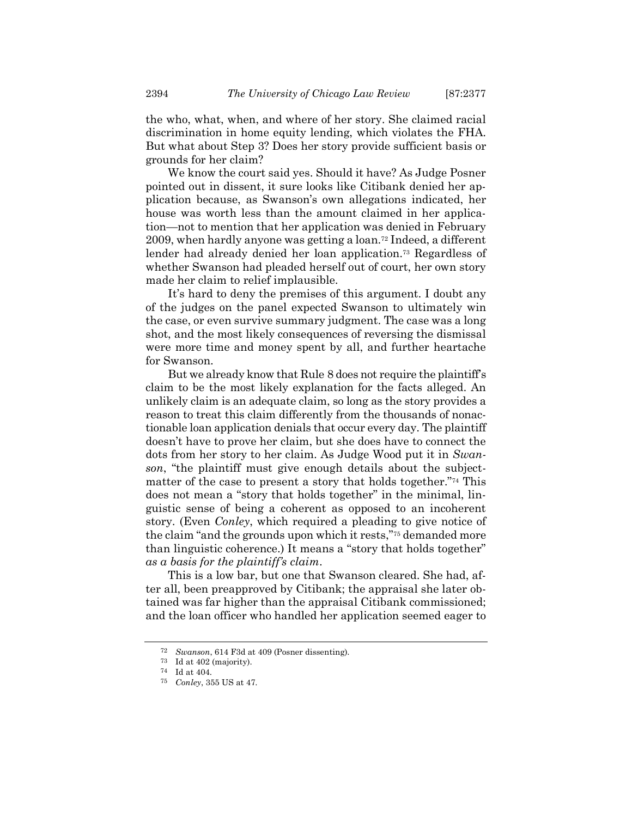the who, what, when, and where of her story. She claimed racial discrimination in home equity lending, which violates the FHA. But what about Step 3? Does her story provide sufficient basis or grounds for her claim?

We know the court said yes. Should it have? As Judge Posner pointed out in dissent, it sure looks like Citibank denied her application because, as Swanson's own allegations indicated, her house was worth less than the amount claimed in her application—not to mention that her application was denied in February 2009, when hardly anyone was getting a loan.<sup>72</sup> Indeed, a different lender had already denied her loan application.<sup>73</sup> Regardless of whether Swanson had pleaded herself out of court, her own story made her claim to relief implausible.

It's hard to deny the premises of this argument. I doubt any of the judges on the panel expected Swanson to ultimately win the case, or even survive summary judgment. The case was a long shot, and the most likely consequences of reversing the dismissal were more time and money spent by all, and further heartache for Swanson.

But we already know that Rule 8 does not require the plaintiff's claim to be the most likely explanation for the facts alleged. An unlikely claim is an adequate claim, so long as the story provides a reason to treat this claim differently from the thousands of nonactionable loan application denials that occur every day. The plaintiff doesn't have to prove her claim, but she does have to connect the dots from her story to her claim. As Judge Wood put it in *Swanson*, "the plaintiff must give enough details about the subjectmatter of the case to present a story that holds together."<sup>74</sup> This does not mean a "story that holds together" in the minimal, linguistic sense of being a coherent as opposed to an incoherent story. (Even *Conley*, which required a pleading to give notice of the claim "and the grounds upon which it rests,"<sup>75</sup> demanded more than linguistic coherence.) It means a "story that holds together" *as a basis for the plaintiff's claim*.

This is a low bar, but one that Swanson cleared. She had, after all, been preapproved by Citibank; the appraisal she later obtained was far higher than the appraisal Citibank commissioned; and the loan officer who handled her application seemed eager to

<sup>72</sup> *Swanson*, 614 F3d at 409 (Posner dissenting).

<sup>73</sup> Id at 402 (majority).

<sup>74</sup> Id at 404.

<sup>75</sup> *Conley*, 355 US at 47.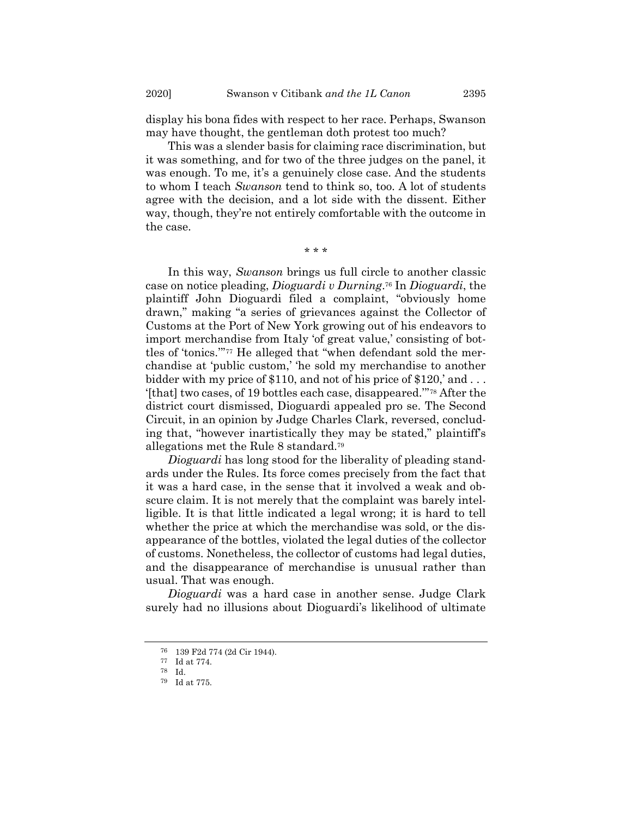display his bona fides with respect to her race. Perhaps, Swanson may have thought, the gentleman doth protest too much?

This was a slender basis for claiming race discrimination, but it was something, and for two of the three judges on the panel, it was enough. To me, it's a genuinely close case. And the students to whom I teach *Swanson* tend to think so, too. A lot of students agree with the decision, and a lot side with the dissent. Either way, though, they're not entirely comfortable with the outcome in the case.

\* \* \*

In this way, *Swanson* brings us full circle to another classic case on notice pleading, *Dioguardi v Durning*. <sup>76</sup> In *Dioguardi*, the plaintiff John Dioguardi filed a complaint, "obviously home drawn," making "a series of grievances against the Collector of Customs at the Port of New York growing out of his endeavors to import merchandise from Italy 'of great value,' consisting of bottles of 'tonics.'" <sup>77</sup> He alleged that "when defendant sold the merchandise at 'public custom,' 'he sold my merchandise to another bidder with my price of  $$110$ , and not of his price of  $$120$ , and ... '[that] two cases, of 19 bottles each case, disappeared.'" <sup>78</sup> After the district court dismissed, Dioguardi appealed pro se. The Second Circuit, in an opinion by Judge Charles Clark, reversed, concluding that, "however inartistically they may be stated," plaintiff's allegations met the Rule 8 standard.<sup>79</sup>

*Dioguardi* has long stood for the liberality of pleading standards under the Rules. Its force comes precisely from the fact that it was a hard case, in the sense that it involved a weak and obscure claim. It is not merely that the complaint was barely intelligible. It is that little indicated a legal wrong; it is hard to tell whether the price at which the merchandise was sold, or the disappearance of the bottles, violated the legal duties of the collector of customs. Nonetheless, the collector of customs had legal duties, and the disappearance of merchandise is unusual rather than usual. That was enough.

*Dioguardi* was a hard case in another sense. Judge Clark surely had no illusions about Dioguardi's likelihood of ultimate

<sup>76</sup> 139 F2d 774 (2d Cir 1944).

<sup>77</sup> Id at 774.

<sup>78</sup> Id.

<sup>79</sup> Id at 775.